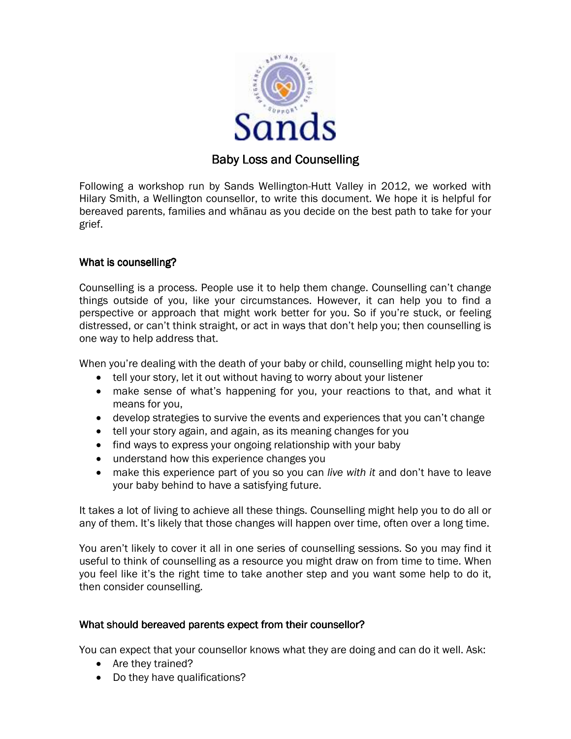

# **Baby Loss and Counselling**

Following a workshop run by Sands Wellington-Hutt Valley in 2012, we worked with Hilary Smith, a Wellington counsellor, to write this document. We hope it is helpful for bereaved parents, families and whānau as you decide on the best path to take for your grief.

## What is counselling?

Counselling is a process. People use it to help them change. Counselling can't change things outside of you, like your circumstances. However, it can help you to find a perspective or approach that might work better for you. So if you're stuck, or feeling distressed, or can't think straight, or act in ways that don't help you; then counselling is one way to help address that.

When you're dealing with the death of your baby or child, counselling might help you to:

- tell your story, let it out without having to worry about your listener
- make sense of what's happening for you, your reactions to that, and what it means for you,
- develop strategies to survive the events and experiences that you can't change
- tell your story again, and again, as its meaning changes for you
- find ways to express your ongoing relationship with your baby
- understand how this experience changes you
- make this experience part of you so you can live with it and don't have to leave your baby behind to have a satisfying future.

It takes a lot of living to achieve all these things. Counselling might help you to do all or any of them. It's likely that those changes will happen over time, often over a long time.

You aren't likely to cover it all in one series of counselling sessions. So you may find it useful to think of counselling as a resource you might draw on from time to time. When you feel like it's the right time to take another step and you want some help to do it, then consider counselling.

### What should bereaved parents expect from their counsellor?

You can expect that your counsellor knows what they are doing and can do it well. Ask:

- Are they trained?
- Do they have qualifications?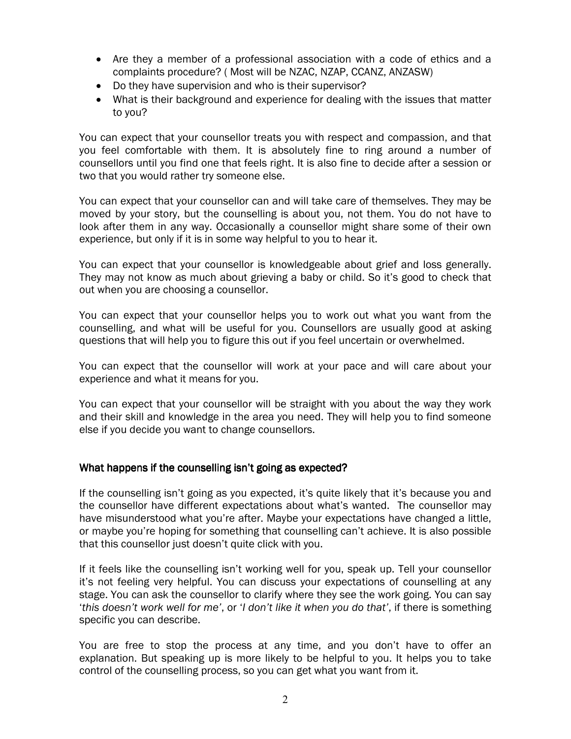- Are they a member of a professional association with a code of ethics and a complaints procedure? ( Most will be NZAC, NZAP, CCANZ, ANZASW)
- Do they have supervision and who is their supervisor?
- What is their background and experience for dealing with the issues that matter to you?

You can expect that your counsellor treats you with respect and compassion, and that you feel comfortable with them. It is absolutely fine to ring around a number of counsellors until you find one that feels right. It is also fine to decide after a session or two that you would rather try someone else.

You can expect that your counsellor can and will take care of themselves. They may be moved by your story, but the counselling is about you, not them. You do not have to look after them in any way. Occasionally a counsellor might share some of their own experience, but only if it is in some way helpful to you to hear it.

You can expect that your counsellor is knowledgeable about grief and loss generally. They may not know as much about grieving a baby or child. So it's good to check that out when you are choosing a counsellor.

You can expect that your counsellor helps you to work out what you want from the counselling, and what will be useful for you. Counsellors are usually good at asking questions that will help you to figure this out if you feel uncertain or overwhelmed.

You can expect that the counsellor will work at your pace and will care about your experience and what it means for you.

You can expect that your counsellor will be straight with you about the way they work and their skill and knowledge in the area you need. They will help you to find someone else if you decide you want to change counsellors.

### What happens if the counselling isn't going as expected?

If the counselling isn't going as you expected, it's quite likely that it's because you and the counsellor have different expectations about what's wanted. The counsellor may have misunderstood what you're after. Maybe your expectations have changed a little, or maybe you're hoping for something that counselling can't achieve. It is also possible that this counsellor just doesn't quite click with you.

If it feels like the counselling isn't working well for you, speak up. Tell your counsellor it's not feeling very helpful. You can discuss your expectations of counselling at any stage. You can ask the counsellor to clarify where they see the work going. You can say 'this doesn't work well for me', or 'I don't like it when you do that', if there is something specific you can describe.

You are free to stop the process at any time, and you don't have to offer an explanation. But speaking up is more likely to be helpful to you. It helps you to take control of the counselling process, so you can get what you want from it.